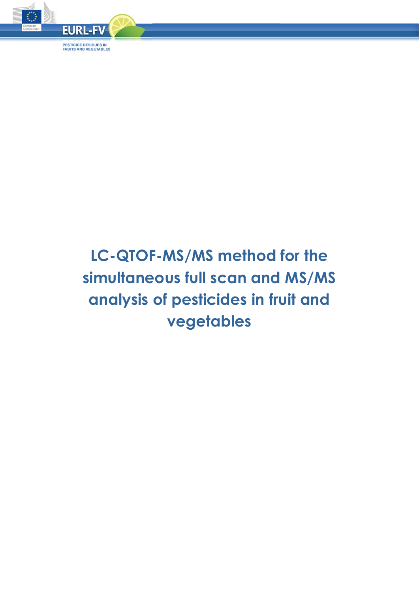

# **LC-QTOF-MS/MS method for the simultaneous full scan and MS/MS analysis of pesticides in fruit and vegetables**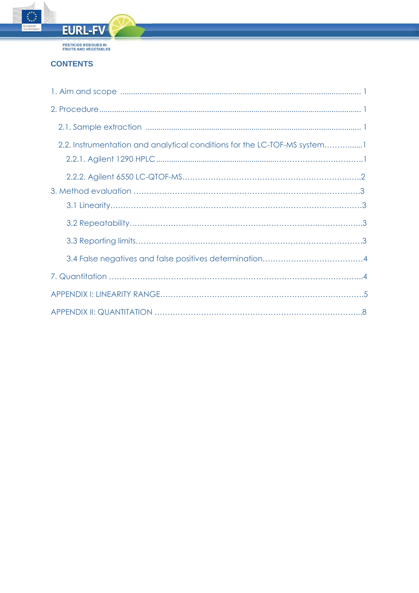

 $\overline{\mathbb{C}}$ 

Europe

**PESTICIDE RESIDUES IN<br>FRUITS AND VEGETABLES** 

#### **CONTENTS**

| 2.2. Instrumentation and analytical conditions for the LC-TOF-MS system |  |
|-------------------------------------------------------------------------|--|
|                                                                         |  |
|                                                                         |  |
|                                                                         |  |
|                                                                         |  |
|                                                                         |  |
|                                                                         |  |
|                                                                         |  |
|                                                                         |  |
|                                                                         |  |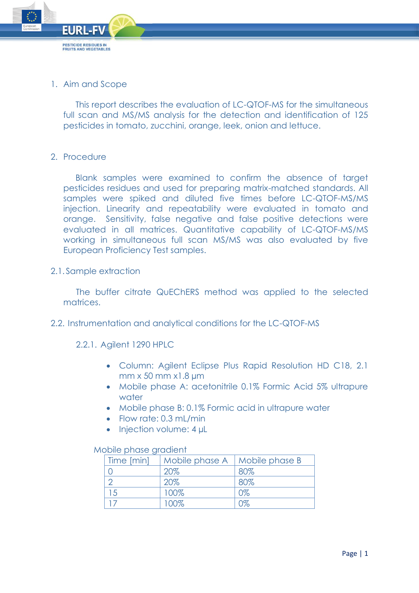

1. Aim and Scope

This report describes the evaluation of LC-QTOF-MS for the simultaneous full scan and MS/MS analysis for the detection and identification of 125 pesticides in tomato, zucchini, orange, leek, onion and lettuce.

2. Procedure

Blank samples were examined to confirm the absence of target pesticides residues and used for preparing matrix-matched standards. All samples were spiked and diluted five times before LC-QTOF-MS/MS injection. Linearity and repeatability were evaluated in tomato and orange. Sensitivity, false negative and false positive detections were evaluated in all matrices. Quantitative capability of LC-QTOF-MS/MS working in simultaneous full scan MS/MS was also evaluated by five European Proficiency Test samples.

2.1. Sample extraction

The buffer citrate QuEChERS method was applied to the selected matrices.

- 2.2. Instrumentation and analytical conditions for the LC-QTOF-MS
	- 2.2.1. Agilent 1290 HPLC
		- Column: Agilent Eclipse Plus Rapid Resolution HD C18, 2.1 mm x 50 mm x1.8 µm
		- Mobile phase A: acetonitrile 0.1% Formic Acid 5% ultrapure water
		- Mobile phase B: 0.1% Formic acid in ultrapure water
		- Flow rate: 0.3 mL/min
		- $\bullet$  Injection volume: 4  $\mu$ L

Mobile phase gradient

| Time [min] | Mobile phase A   Mobile phase B |     |
|------------|---------------------------------|-----|
|            | 20%                             | 80% |
|            | 20%                             | 80% |
| 5          | 100%                            | 0%  |
|            | 100%                            | ೧%  |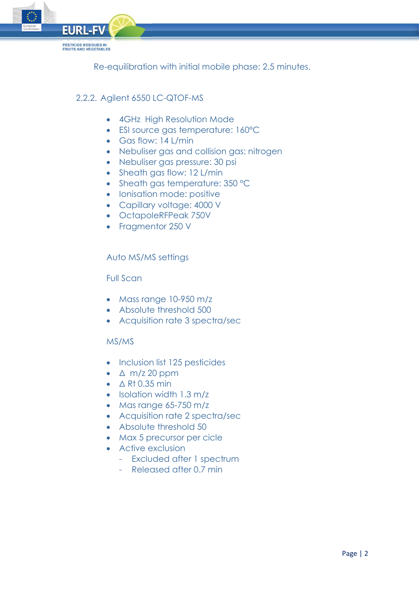

Re-equilibration with initial mobile phase: 2.5 minutes.

# 2.2.2. Agilent 6550 LC-QTOF-MS

- 4GHz High Resolution Mode
- ESI source gas temperature: 160°C
- Gas flow: 14 L/min
- Nebuliser aas and collision aas: nitrogen
- Nebuliser gas pressure: 30 psi
- Sheath gas flow: 12 L/min
- Sheath gas temperature: 350 °C
- Ionisation mode: positive
- Capillary voltage: 4000 V
- OctapoleRFPeak 750V
- Fragmentor 250 V

#### Auto MS/MS settings

## Full Scan

- Mass range 10-950 m/z
- Absolute threshold 500
- Acquisition rate 3 spectra/sec

#### MS/MS

- Inclusion list 125 pesticides
- $\bullet$   $\Delta$  m/z 20 ppm
- $\triangle$  Rt 0.35 min
- $\bullet$  Isolation width 1.3 m/z
- Mas range 65-750 m/z
- Acquisition rate 2 spectra/sec
- Absolute threshold 50
- Max 5 precursor per cicle
- Active exclusion
	- Excluded after 1 spectrum
	- Released after 0.7 min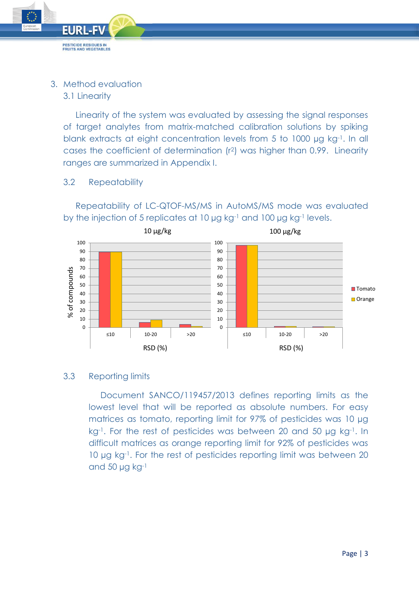3. Method evaluation

3.1 Linearity

EURLEE

**PESTICIDE RESIDUES IN<br>FRUITS AND VEGETABLES** 

Linearity of the system was evaluated by assessing the signal responses of target analytes from matrix-matched calibration solutions by spiking blank extracts at eight concentration levels from 5 to 1000 µg kg-1. In all cases the coefficient of determination (r2) was higher than 0.99. Linearity ranges are summarized in Appendix I.

3.2 Repeatability

Repeatability of LC-QTOF-MS/MS in AutoMS/MS mode was evaluated by the injection of 5 replicates at 10 µg kg-1 and 100 µg kg-1 levels.



# 3.3 Reporting limits

Document SANCO/119457/2013 defines reporting limits as the lowest level that will be reported as absolute numbers. For easy matrices as tomato, reporting limit for 97% of pesticides was 10 µg kg<sup>-1</sup>. For the rest of pesticides was between 20 and 50 µg kg<sup>-1</sup>. In difficult matrices as orange reporting limit for 92% of pesticides was 10 µg kg-1. For the rest of pesticides reporting limit was between 20 and  $50 \mu g kg^{-1}$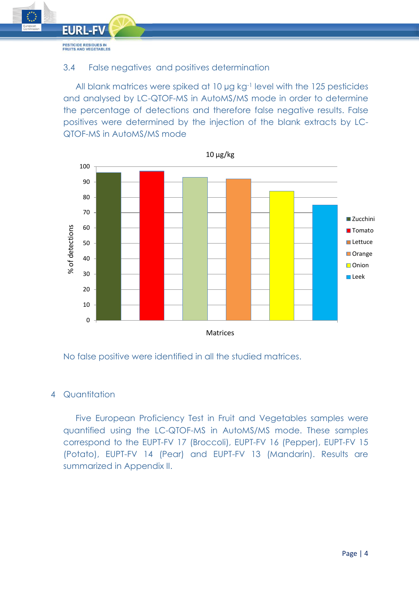**PESTICIDE RESIDUES IN<br>FRUITS AND VEGETABLES** 

**EURL-F** 

## 3.4 False negatives and positives determination

All blank matrices were spiked at 10 µg kg-1 level with the 125 pesticides and analysed by LC-QTOF-MS in AutoMS/MS mode in order to determine the percentage of detections and therefore false negative results. False positives were determined by the injection of the blank extracts by LC-QTOF-MS in AutoMS/MS mode



No false positive were identified in all the studied matrices.

## 4 Quantitation

Five European Proficiency Test in Fruit and Vegetables samples were quantified using the LC-QTOF-MS in AutoMS/MS mode. These samples correspond to the EUPT-FV 17 (Broccoli), EUPT-FV 16 (Pepper), EUPT-FV 15 (Potato), EUPT-FV 14 (Pear) and EUPT-FV 13 (Mandarin). Results are summarized in Appendix II.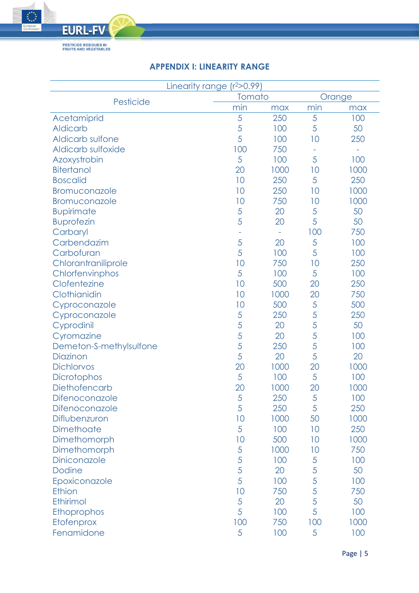

## **APPENDIX I: LINEARITY RANGE**

| Linearity range $(r^2>0.99)$ |        |      |     |        |
|------------------------------|--------|------|-----|--------|
| Pesticide                    | Tomato |      |     | Orange |
|                              | min    | max  | min | max    |
| Acetamiprid                  | 5      | 250  | 5   | 100    |
| <b>Aldicarb</b>              | 5      | 100  | 5   | 50     |
| Aldicarb sulfone             | 5      | 100  | 10  | 250    |
| Aldicarb sulfoxide           | 100    | 750  |     |        |
| Azoxystrobin                 | 5      | 100  | 5   | 100    |
| <b>Bitertanol</b>            | 20     | 1000 | 10  | 1000   |
| <b>Boscalid</b>              | 10     | 250  | 5   | 250    |
| Bromuconazole                | 10     | 250  | 10  | 1000   |
| Bromuconazole                | 10     | 750  | 10  | 1000   |
| <b>Bupirimate</b>            | 5      | 20   | 5   | 50     |
| <b>Buprofezin</b>            | 5      | 20   | 5   | 50     |
| Carbaryl                     |        |      | 100 | 750    |
| Carbendazim                  | 5      | 20   | 5   | 100    |
| Carbofuran                   | 5      | 100  | 5   | 100    |
| Chlorantraniliprole          | 10     | 750  | 10  | 250    |
| Chlorfenvinphos              | 5      | 100  | 5   | 100    |
| Clofentezine                 | 10     | 500  | 20  | 250    |
| Clothianidin                 | 10     | 1000 | 20  | 750    |
| Cyproconazole                | 10     | 500  | 5   | 500    |
| Cyproconazole                | 5      | 250  | 5   | 250    |
| Cyprodinil                   | 5      | 20   | 5   | 50     |
| Cyromazine                   | 5      | 20   | 5   | 100    |
| Demeton-S-methylsulfone      | 5      | 250  | 5   | 100    |
| Diazinon                     | 5      | 20   | 5   | 20     |
| <b>Dichlorvos</b>            | 20     | 1000 | 20  | 1000   |
| <b>Dicrotophos</b>           | 5      | 100  | 5   | 100    |
| Diethofencarb                | 20     | 1000 | 20  | 1000   |
| Difenoconazole               | 5      | 250  | 5   | 100    |
| Difenoconazole               | 5      | 250  | 5   | 250    |
| Diflubenzuron                | 10     | 1000 | 50  | 1000   |
| Dimethoate                   | 5      | 100  | 10  | 250    |
| Dimethomorph                 | 10     | 500  | 10  | 1000   |
| Dimethomorph                 | 5      | 1000 | 10  | 750    |
| Diniconazole                 | 5      | 100  | 5   | 100    |
| <b>Dodine</b>                | 5      | 20   | 5   | 50     |
| Epoxiconazole                | 5      | 100  | 5   | 100    |
| Ethion                       | 10     | 750  | 5   | 750    |
| Ethirimol                    | 5      | 20   | 5   | 50     |
| Ethoprophos                  | 5      | 100  | 5   | 100    |
| <b>Etofenprox</b>            | 100    | 750  | 100 | 1000   |
| Fenamidone                   | 5      | 100  | 5   | 100    |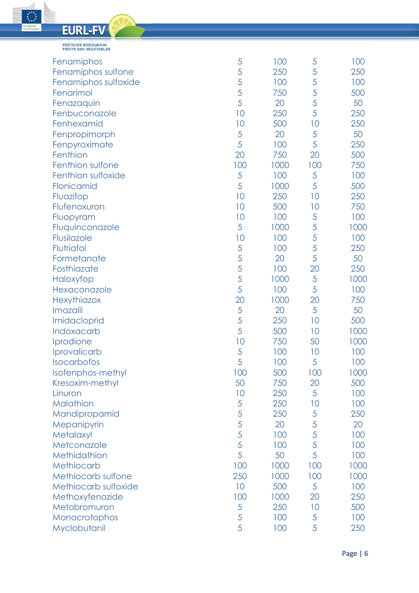$\bigoplus$ 

Europe<br>Commi

**PESTICIDE RESIDUES IN<br>FRUITS AND VEGETABLES** 

| Fenamiphos              | 5   | 100  | 5   | 100  |
|-------------------------|-----|------|-----|------|
| Fenamiphos sulfone      | 5   | 250  | 5   | 250  |
| Fenamiphos sulfoxide    | 5   | 100  | 5   | 100  |
| Fenarimol               | 5   | 750  | 5   | 500  |
| Fenazaquin              | 5   | 20   | 5   | 50   |
| Fenbuconazole           | 10  | 250  | 5   | 250  |
| Fenhexamid              | 10  | 500  | 10  | 250  |
| Fenpropimorph           | 5   | 20   | 5   | 50   |
| Fenpyroximate           | 5   | 100  | 5   | 250  |
| Fenthion                | 20  | 750  | 20  | 500  |
| <b>Fenthion sulfone</b> | 100 | 1000 | 100 | 750  |
| Fenthion sulfoxide      | 5   | 100  | 5   | 100  |
| Flonicamid              | 5   | 1000 | 5   | 500  |
| Fluazifop               | 10  | 250  | 10  | 250  |
| Flufenoxuron            | 10  | 500  | 10  | 750  |
| Fluopyram               | 10  | 100  | 5   | 100  |
| Fluquinconazole         | 5   | 1000 | 5   | 1000 |
| Flusilazole             | 10  | 100  | 5   | 100  |
| Flutriafol              | 5   | 100  | 5   | 250  |
| Formetanate             | 5   | 20   | 5   | 50   |
| Fosthiazate             | 5   | 100  | 20  | 250  |
| Haloxyfop               | 5   | 1000 | 5   | 1000 |
| Hexaconazole            | 5   | 100  | 5   | 100  |
|                         | 20  | 1000 | 20  | 750  |
| Hexythiazox             |     | 20   | 5   | 50   |
| Imazalil                | 5   |      |     |      |
| Imidacloprid            | 5   | 250  | 10  | 500  |
| Indoxacarb              | 5   | 500  | 10  | 1000 |
| Iprodione               | 10  | 750  | 50  | 1000 |
| Iprovalicarb            | 5   | 100  | 10  | 100  |
| Isocarbofos             | 5   | 100  | 5   | 100  |
| Isofenphos-methyl       | 100 | 500  | 100 | 1000 |
| Kresoxim-methyl         | 50  | 750  | 20  | 500  |
| Linuron                 | 10  | 250  | 5   | 100  |
| Malathion               | 5   | 250  | 10  | 100  |
| Mandipropamid           | 5   | 250  | 5   | 250  |
| Mepanipyrin             | 5   | 20   | 5   | 20   |
| Metalaxyl               | 5   | 100  | 5   | 100  |
| Metconazole             | 5   | 100  | 5   | 100  |
| Methidathion            | 5   | 50   | 5   | 100  |
| Methiocarb              | 100 | 1000 | 100 | 1000 |
| Methiocarb sulfone      | 250 | 1000 | 100 | 1000 |
| Methiocarb sulfoxide    | 10  | 500  | 5   | 100  |
| Methoxyfenozide         | 100 | 1000 | 20  | 250  |
| Metobromuron            | 5   | 250  | 10  | 500  |
| Monocrotophos           | 5   | 100  | 5   | 100  |
| Myclobutanil            | 5   | 100  | 5   | 250  |
|                         |     |      |     |      |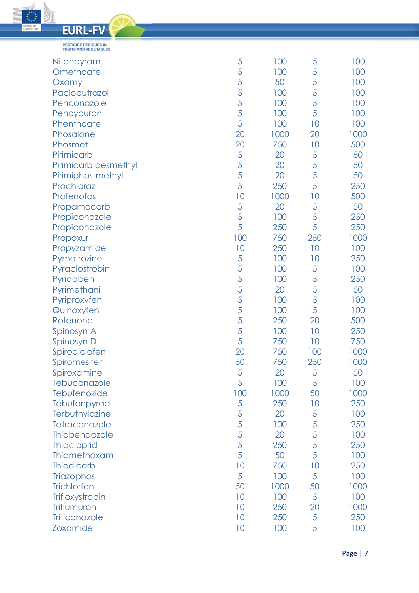$\bigoplus$ 

Europes

| Nitenpyram             | 5   | 100  | 5   | 100  |
|------------------------|-----|------|-----|------|
| Omethoate              | 5   | 100  | 5   | 100  |
| Oxamyl                 | 5   | 50   | 5   | 100  |
| Paclobutrazol          | 5   | 100  | 5   | 100  |
| Penconazole            | 5   | 100  | 5   | 100  |
| Pencycuron             | 5   | 100  | 5   | 100  |
| Phenthoate             | 5   | 100  | 10  | 100  |
| Phosalone              | 20  | 1000 | 20  | 1000 |
| Phosmet                | 20  | 750  | 10  | 500  |
| Pirimicarb             | 5   | 20   | 5   | 50   |
| Pirimicarb desmethyl   | 5   | 20   | 5   | 50   |
| Pirimiphos-methyl      | 5   | 20   | 5   | 50   |
| Prochloraz             | 5   | 250  | 5   | 250  |
| Profenofos             | 10  | 1000 | 10  | 500  |
| Propamocarb            | 5   | 20   | 5   | 50   |
| Propiconazole          | 5   | 100  | 5   | 250  |
| Propiconazole          | 5   | 250  | 5   | 250  |
| Propoxur               | 100 | 750  | 250 | 1000 |
| Propyzamide            | 10  | 250  | 10  | 100  |
| Pymetrozine            | 5   | 100  | 10  | 250  |
| Pyraclostrobin         | 5   | 100  | 5   | 100  |
| Pyridaben              | 5   | 100  | 5   | 250  |
| Pyrimethanil           | 5   | 20   | 5   | 50   |
| Pyriproxyfen           | 5   | 100  | 5   | 100  |
|                        | 5   | 100  | 5   | 100  |
| Quinoxyfen<br>Rotenone | 5   | 250  | 20  | 500  |
|                        | 5   | 100  | 10  | 250  |
| Spinosyn A             | 5   |      | 10  |      |
| Spinosyn D             |     | 750  |     | 750  |
| Spirodiclofen          | 20  | 750  | 100 | 1000 |
| Spiromesifen           | 50  | 750  | 250 | 1000 |
| Spiroxamine            | 5   | 20   | 5   | 50   |
| Tebuconazole           | 5   | 100  | 5   | 100  |
| Tebufenozide           | 100 | 1000 | 50  | 1000 |
| Tebufenpyrad           | 5   | 250  | 10  | 250  |
| Terbuthylazine         | 5   | 20   | 5   | 100  |
| Tetraconazole          | 5   | 100  | 5   | 250  |
| Thiabendazole          | 5   | 20   | 5   | 100  |
| <b>Thiacloprid</b>     | 5   | 250  | 5   | 250  |
| Thiamethoxam           | 5   | 50   | 5   | 100  |
| <b>Thiodicarb</b>      | 10  | 750  | 10  | 250  |
| <b>Triazophos</b>      | 5   | 100  | 5   | 100  |
| <b>Trichlorfon</b>     | 50  | 1000 | 50  | 1000 |
| Trifloxystrobin        | 10  | 100  | 5   | 100  |
| Triflumuron            | 10  | 250  | 20  | 1000 |
| <b>Triticonazole</b>   | 10  | 250  | 5   | 250  |
| <b>Zoxamide</b>        | 10  | 100  | 5   | 100  |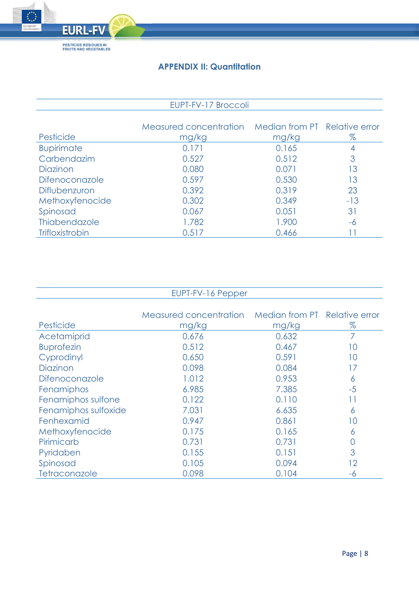

# **APPENDIX II: Quantitation**

## EUPT-FV-17 Broccoli

|                   | Measured concentration Median from PT Relative error |       |       |
|-------------------|------------------------------------------------------|-------|-------|
| Pesticide         | mg/kg                                                | mg/kg | $\%$  |
| <b>Bupirimate</b> | 0.171                                                | 0.165 |       |
| Carbendazim       | 0.527                                                | 0.512 | 3     |
| Diazinon          | 0.080                                                | 0.071 | 13    |
| Difenoconazole    | 0.597                                                | 0.530 | 13    |
| Diflubenzuron     | 0.392                                                | 0.319 | 23    |
| Methoxyfenocide   | 0.302                                                | 0.349 | $-13$ |
| Spinosad          | 0.067                                                | 0.051 | 31    |
| Thiabendazole     | 1.782                                                | 1.900 | -6    |
| Trifloxistrobin   | 0.517                                                | 0.466 |       |

# EUPT-FV-16 Pepper

|                      | Measured concentration | Median from PT Relative error |      |
|----------------------|------------------------|-------------------------------|------|
| Pesticide            | mg/kg                  | mg/kg                         | $\%$ |
| Acetamiprid          | 0.676                  | 0.632                         | 7    |
| <b>Buprofezin</b>    | 0.512                  | 0.467                         | 10   |
| Cyprodinyl           | 0.650                  | 0.591                         | 10   |
| Diazinon             | 0.098                  | 0.084                         | 17   |
| Difenoconazole       | 1.012                  | 0.953                         | 6    |
| Fenamiphos           | 6.985                  | 7.385                         | $-5$ |
| Fenamiphos sulfone   | 0.122                  | 0.110                         | 11   |
| Fenamiphos sulfoxide | 7.031                  | 6.635                         | 6    |
| Fenhexamid           | 0.947                  | 0.861                         | 10   |
| Methoxyfenocide      | 0.175                  | 0.165                         | 6    |
| Pirimicarb           | 0.731                  | 0.731                         | 0    |
| Pyridaben            | 0.155                  | 0.151                         | 3    |
| Spinosad             | 0.105                  | 0.094                         | 12   |
| Tetraconazole        | 0.098                  | 0.104                         | -6   |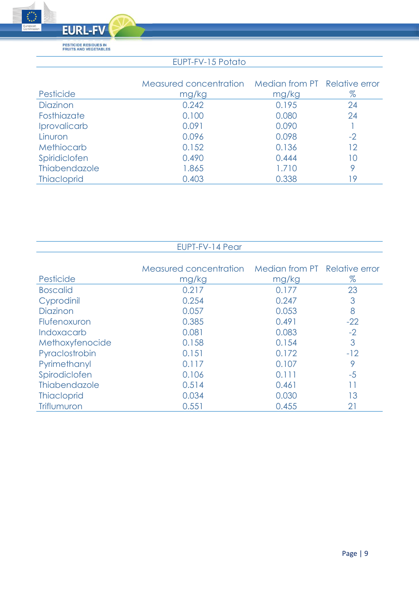

**PESTICIDE RESIDUES IN<br>FRUITS AND VEGETABLES** 

### EUPT-FV-15 Potato

|                    | Measured concentration Median from PT Relative error |       |      |
|--------------------|------------------------------------------------------|-------|------|
| Pesticide          | mg/kg                                                | mg/kg | $\%$ |
| <b>Diazinon</b>    | 0.242                                                | 0.195 | 24   |
| Fosthiazate        | 0.100                                                | 0.080 | 24   |
| Iprovalicarb       | 0.091                                                | 0.090 |      |
| Linuron            | 0.096                                                | 0.098 | $-2$ |
| Methiocarb         | 0.152                                                | 0.136 | 12   |
| Spiridiclofen      | 0.490                                                | 0.444 | 10   |
| Thiabendazole      | 1.865                                                | 1.710 | 9    |
| <b>Thiacloprid</b> | 0.403                                                | 0.338 | 19   |

| EUPT-FV-14 Pear    |                        |                               |       |  |
|--------------------|------------------------|-------------------------------|-------|--|
|                    |                        |                               |       |  |
|                    | Measured concentration | Median from PT Relative error |       |  |
| Pesticide          | mg/kg                  | mg/kg                         | $\%$  |  |
| <b>Boscalid</b>    | 0.217                  | 0.177                         | 23    |  |
| Cyprodinil         | 0.254                  | 0.247                         | 3     |  |
| Diazinon           | 0.057                  | 0.053                         | 8     |  |
| Flufenoxuron       | 0.385                  | 0.491                         | $-22$ |  |
| <b>Indoxacarb</b>  | 0.081                  | 0.083                         | $-2$  |  |
| Methoxyfenocide    | 0.158                  | 0.154                         | 3     |  |
| Pyraclostrobin     | 0.151                  | 0.172                         | $-12$ |  |
| Pyrimethanyl       | 0.117                  | 0.107                         | 9     |  |
| Spirodiclofen      | 0.106                  | 0.111                         | $-5$  |  |
| Thiabendazole      | 0.514                  | 0.461                         |       |  |
| <b>Thiacloprid</b> | 0.034                  | 0.030                         | 13    |  |
| Triflumuron        | 0.551                  | 0.455                         | 21    |  |